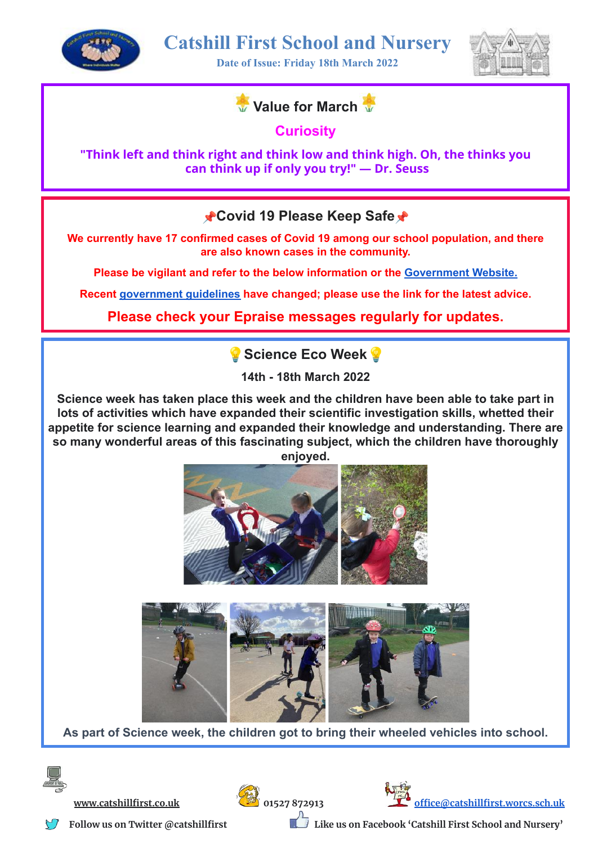

**Date of Issue: Friday 18th March 2022**





**Curiosity**

**"Think left and think right and think low and think high. Oh, the thinks you can think up if only you try!" ― Dr. Seuss**

**Covid 19 Please Keep Safe**

**We currently have 17 confirmed cases of Covid 19 among our school population, and there are also known cases in the community.**

**Please be vigilant and refer to the below information or the [Government](https://www.nhs.uk/conditions/coronavirus-covid-19/self-isolation-and-treatment/when-to-self-isolate-and-what-to-do/) Website.**

**Recent [government](https://drive.google.com/file/d/1SuDIFPRuvrWFwCBVuG0WonVTCwDv7-h7/view?usp=sharing) guidelines have changed; please use the link for the latest advice.**

**Please check your Epraise messages regularly for updates.**

**Science Eco Week**

**14th - 18th March 2022**

**Science week has taken place this week and the children have been able to take part in lots of activities which have expanded their scientific investigation skills, whetted their appetite for science learning and expanded their knowledge and understanding. There are so many wonderful areas of this fascinating subject, which the children have thoroughly enjoyed.**





**As part of Science week, the children got to bring their wheeled vehicles into school.**







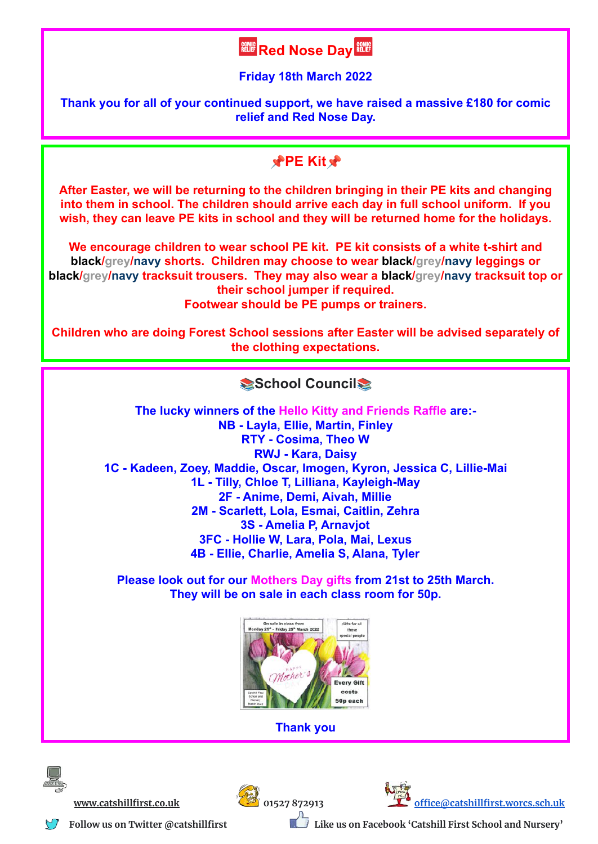## **Red Nose Day**

**Friday 18th March 2022**

**Thank you for all of your continued support, we have raised a massive £180 for comic relief and Red Nose Day.**

## **PE** Kit<sup>\*</sup>

**After Easter, we will be returning to the children bringing in their PE kits and changing into them in school. The children should arrive each day in full school uniform. If you wish, they can leave PE kits in school and they will be returned home for the holidays.**

**We encourage children to wear school PE kit. PE kit consists of a white t-shirt and black/grey/navy shorts. Children may choose to wear black/grey/navy leggings or black/grey/navy tracksuit trousers. They may also wear a black/grey/navy tracksuit top or their school jumper if required.**

**Footwear should be PE pumps or trainers.**

**Children who are doing Forest School sessions after Easter will be advised separately of the clothing expectations.**

## **School Council**

**The lucky winners of the Hello Kitty and Friends Raffle are:- NB - Layla, Ellie, Martin, Finley RTY - Cosima, Theo W RWJ - Kara, Daisy 1C - Kadeen, Zoey, Maddie, Oscar, Imogen, Kyron, Jessica C, Lillie-Mai 1L - Tilly, Chloe T, Lilliana, Kayleigh-May 2F - Anime, Demi, Aivah, Millie 2M - Scarlett, Lola, Esmai, Caitlin, Zehra 3S - Amelia P, Arnavjot 3FC - Hollie W, Lara, Pola, Mai, Lexus 4B - Ellie, Charlie, Amelia S, Alana, Tyler**

**Please look out for our Mothers Day gifts from 21st to 25th March. They will be on sale in each class room for 50p.**



**Thank you**







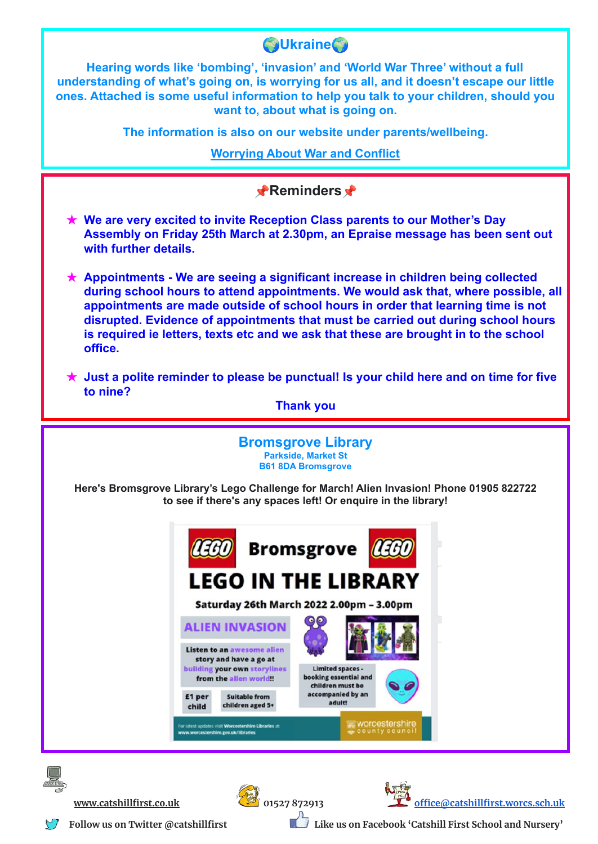